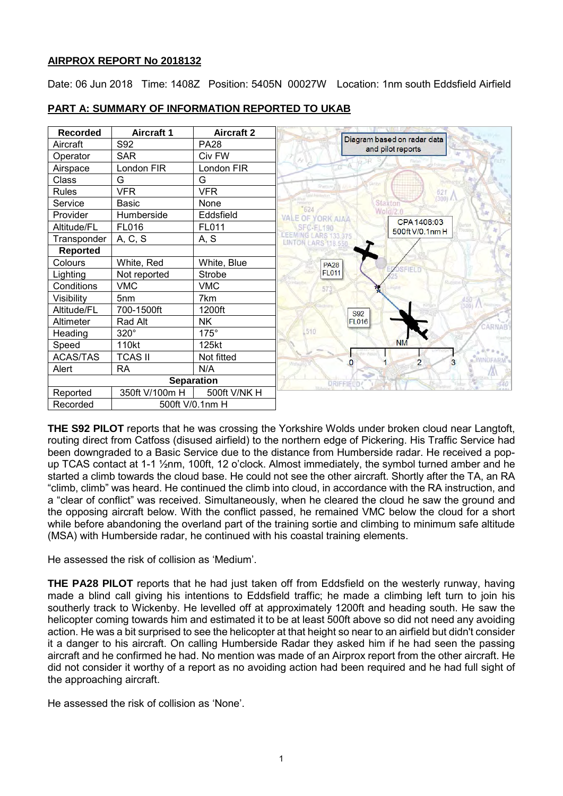# **AIRPROX REPORT No 2018132**

Date: 06 Jun 2018 Time: 1408Z Position: 5405N 00027W Location: 1nm south Eddsfield Airfield



# **PART A: SUMMARY OF INFORMATION REPORTED TO UKAB**

**THE S92 PILOT** reports that he was crossing the Yorkshire Wolds under broken cloud near Langtoft, routing direct from Catfoss (disused airfield) to the northern edge of Pickering. His Traffic Service had been downgraded to a Basic Service due to the distance from Humberside radar. He received a popup TCAS contact at 1-1 ½nm, 100ft, 12 o'clock. Almost immediately, the symbol turned amber and he started a climb towards the cloud base. He could not see the other aircraft. Shortly after the TA, an RA "climb, climb" was heard. He continued the climb into cloud, in accordance with the RA instruction, and a "clear of conflict" was received. Simultaneously, when he cleared the cloud he saw the ground and the opposing aircraft below. With the conflict passed, he remained VMC below the cloud for a short while before abandoning the overland part of the training sortie and climbing to minimum safe altitude (MSA) with Humberside radar, he continued with his coastal training elements.

He assessed the risk of collision as 'Medium'.

**THE PA28 PILOT** reports that he had just taken off from Eddsfield on the westerly runway, having made a blind call giving his intentions to Eddsfield traffic; he made a climbing left turn to join his southerly track to Wickenby. He levelled off at approximately 1200ft and heading south. He saw the helicopter coming towards him and estimated it to be at least 500ft above so did not need any avoiding action. He was a bit surprised to see the helicopter at that height so near to an airfield but didn't consider it a danger to his aircraft. On calling Humberside Radar they asked him if he had seen the passing aircraft and he confirmed he had. No mention was made of an Airprox report from the other aircraft. He did not consider it worthy of a report as no avoiding action had been required and he had full sight of the approaching aircraft.

He assessed the risk of collision as 'None'.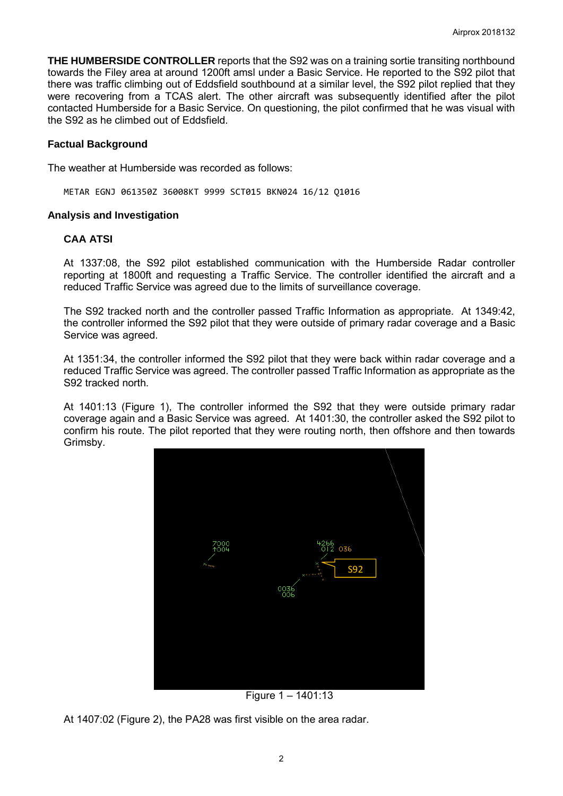**THE HUMBERSIDE CONTROLLER** reports that the S92 was on a training sortie transiting northbound towards the Filey area at around 1200ft amsl under a Basic Service. He reported to the S92 pilot that there was traffic climbing out of Eddsfield southbound at a similar level, the S92 pilot replied that they were recovering from a TCAS alert. The other aircraft was subsequently identified after the pilot contacted Humberside for a Basic Service. On questioning, the pilot confirmed that he was visual with the S92 as he climbed out of Eddsfield.

### **Factual Background**

The weather at Humberside was recorded as follows:

METAR EGNJ 061350Z 36008KT 9999 SCT015 BKN024 16/12 Q1016

#### **Analysis and Investigation**

### **CAA ATSI**

At 1337:08, the S92 pilot established communication with the Humberside Radar controller reporting at 1800ft and requesting a Traffic Service. The controller identified the aircraft and a reduced Traffic Service was agreed due to the limits of surveillance coverage.

The S92 tracked north and the controller passed Traffic Information as appropriate. At 1349:42, the controller informed the S92 pilot that they were outside of primary radar coverage and a Basic Service was agreed.

At 1351:34, the controller informed the S92 pilot that they were back within radar coverage and a reduced Traffic Service was agreed. The controller passed Traffic Information as appropriate as the S92 tracked north.

At 1401:13 (Figure 1), The controller informed the S92 that they were outside primary radar coverage again and a Basic Service was agreed. At 1401:30, the controller asked the S92 pilot to confirm his route. The pilot reported that they were routing north, then offshore and then towards Grimsby.



Figure 1 – 1401:13

At 1407:02 (Figure 2), the PA28 was first visible on the area radar.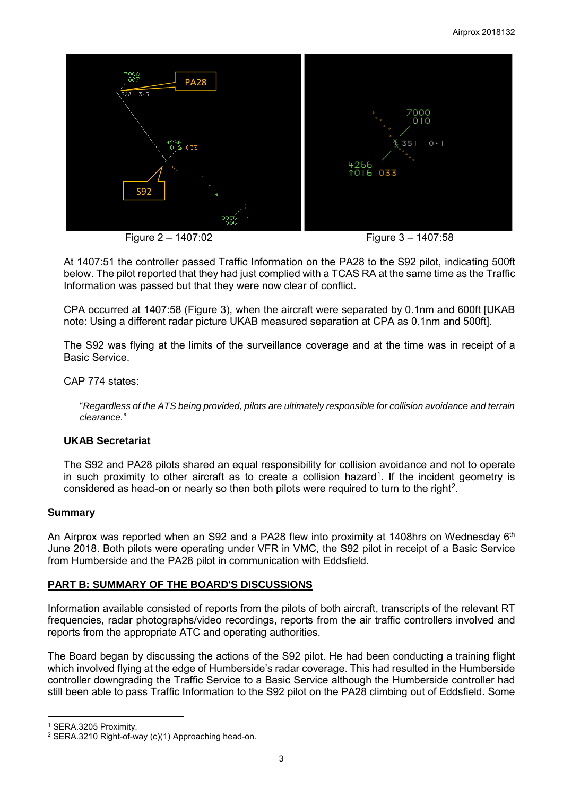

Figure 2 – 1407:02Figure 3 – 1407:58

At 1407:51 the controller passed Traffic Information on the PA28 to the S92 pilot, indicating 500ft below. The pilot reported that they had just complied with a TCAS RA at the same time as the Traffic Information was passed but that they were now clear of conflict.

CPA occurred at 1407:58 (Figure 3), when the aircraft were separated by 0.1nm and 600ft [UKAB note: Using a different radar picture UKAB measured separation at CPA as 0.1nm and 500ft].

The S92 was flying at the limits of the surveillance coverage and at the time was in receipt of a Basic Service.

CAP 774 states:

"*Regardless of the ATS being provided, pilots are ultimately responsible for collision avoidance and terrain clearance.*"

### **UKAB Secretariat**

The S92 and PA28 pilots shared an equal responsibility for collision avoidance and not to operate in such proximity to other aircraft as to create a collision hazard<sup>[1](#page-2-0)</sup>. If the incident geometry is considered as head-on or nearly so then both pilots were required to turn to the right<sup>[2](#page-2-1)</sup>.

### **Summary**

An Airprox was reported when an S92 and a PA28 flew into proximity at 1408hrs on Wednesday 6<sup>th</sup> June 2018. Both pilots were operating under VFR in VMC, the S92 pilot in receipt of a Basic Service from Humberside and the PA28 pilot in communication with Eddsfield.

# **PART B: SUMMARY OF THE BOARD'S DISCUSSIONS**

Information available consisted of reports from the pilots of both aircraft, transcripts of the relevant RT frequencies, radar photographs/video recordings, reports from the air traffic controllers involved and reports from the appropriate ATC and operating authorities.

The Board began by discussing the actions of the S92 pilot. He had been conducting a training flight which involved flying at the edge of Humberside's radar coverage. This had resulted in the Humberside controller downgrading the Traffic Service to a Basic Service although the Humberside controller had still been able to pass Traffic Information to the S92 pilot on the PA28 climbing out of Eddsfield. Some

l

<span id="page-2-0"></span><sup>1</sup> SERA.3205 Proximity.

<span id="page-2-1"></span><sup>2</sup> SERA.3210 Right-of-way (c)(1) Approaching head-on.